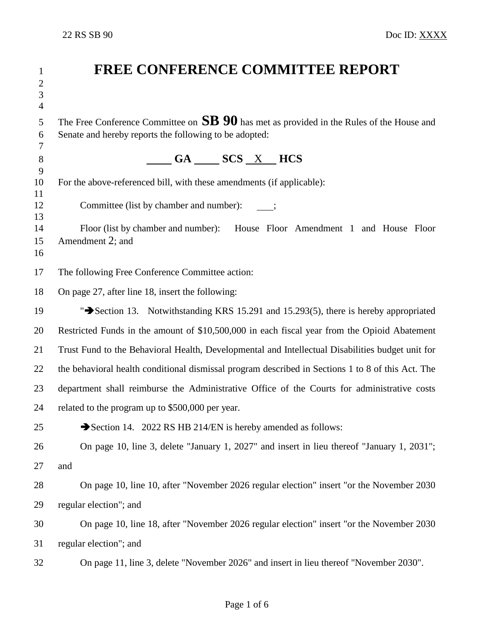| 1                 | <b>FREE CONFERENCE COMMITTEE REPORT</b>                                                           |
|-------------------|---------------------------------------------------------------------------------------------------|
| $\mathbf{2}$<br>3 |                                                                                                   |
| $\overline{4}$    |                                                                                                   |
| 5<br>6            | The Free Conference Committee on $SB$ 90 has met as provided in the Rules of the House and        |
| 7                 | Senate and hereby reports the following to be adopted:                                            |
| 8                 | $\underline{\hspace{1cm}}$ GA $\underline{\hspace{1cm}}$ SCS $\underline{\hspace{1cm}}$ X HCS     |
| 9<br>10           | For the above-referenced bill, with these amendments (if applicable):                             |
| 11                |                                                                                                   |
| 12<br>13          | Committee (list by chamber and number):                                                           |
| 14<br>15          | Floor (list by chamber and number): House Floor Amendment 1 and House Floor<br>Amendment 2; and   |
| 16                |                                                                                                   |
| 17                | The following Free Conference Committee action:                                                   |
| 18                | On page 27, after line 18, insert the following:                                                  |
| 19                | "Section 13. Notwithstanding KRS 15.291 and 15.293(5), there is hereby appropriated               |
| 20                | Restricted Funds in the amount of \$10,500,000 in each fiscal year from the Opioid Abatement      |
| 21                | Trust Fund to the Behavioral Health, Developmental and Intellectual Disabilities budget unit for  |
| 22                | the behavioral health conditional dismissal program described in Sections 1 to 8 of this Act. The |
| 23                | department shall reimburse the Administrative Office of the Courts for administrative costs       |
| 24                | related to the program up to \$500,000 per year.                                                  |
| 25                | Section 14. 2022 RS HB 214/EN is hereby amended as follows:                                       |
| 26                | On page 10, line 3, delete "January 1, 2027" and insert in lieu thereof "January 1, 2031";        |
| 27                | and                                                                                               |
| 28                | On page 10, line 10, after "November 2026 regular election" insert "or the November 2030          |
| 29                | regular election"; and                                                                            |
| 30                | On page 10, line 18, after "November 2026 regular election" insert "or the November 2030          |
| 31                | regular election"; and                                                                            |
| 32                | On page 11, line 3, delete "November 2026" and insert in lieu thereof "November 2030".            |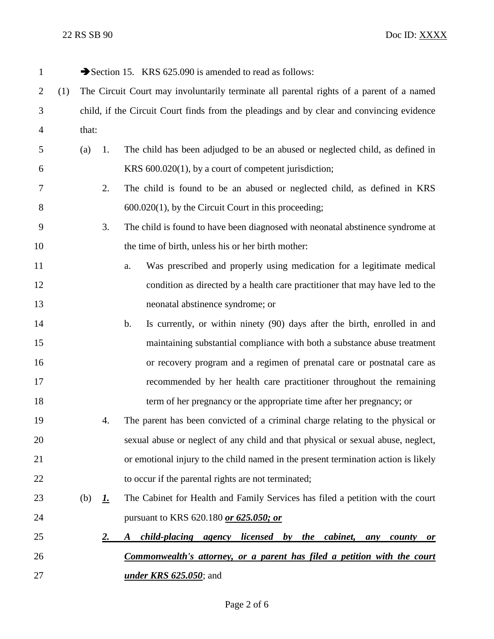| $\mathbf{1}$   |     |                                                                                           |                                                                                      | Section 15. KRS 625.090 is amended to read as follows:                                      |  |  |
|----------------|-----|-------------------------------------------------------------------------------------------|--------------------------------------------------------------------------------------|---------------------------------------------------------------------------------------------|--|--|
| $\overline{2}$ | (1) | The Circuit Court may involuntarily terminate all parental rights of a parent of a named  |                                                                                      |                                                                                             |  |  |
| 3              |     | child, if the Circuit Court finds from the pleadings and by clear and convincing evidence |                                                                                      |                                                                                             |  |  |
| 4              |     | that:                                                                                     |                                                                                      |                                                                                             |  |  |
| 5              |     | (a)                                                                                       | 1.                                                                                   | The child has been adjudged to be an abused or neglected child, as defined in               |  |  |
| 6              |     |                                                                                           | KRS 600.020(1), by a court of competent jurisdiction;                                |                                                                                             |  |  |
| 7              |     |                                                                                           | 2.                                                                                   | The child is found to be an abused or neglected child, as defined in KRS                    |  |  |
| 8              |     |                                                                                           | $600.020(1)$ , by the Circuit Court in this proceeding;                              |                                                                                             |  |  |
| 9              |     |                                                                                           | 3.<br>The child is found to have been diagnosed with neonatal abstinence syndrome at |                                                                                             |  |  |
| 10             |     |                                                                                           |                                                                                      | the time of birth, unless his or her birth mother:                                          |  |  |
| 11             |     |                                                                                           |                                                                                      | Was prescribed and properly using medication for a legitimate medical<br>a.                 |  |  |
| 12             |     | condition as directed by a health care practitioner that may have led to the              |                                                                                      |                                                                                             |  |  |
| 13             |     | neonatal abstinence syndrome; or                                                          |                                                                                      |                                                                                             |  |  |
| 14             |     |                                                                                           |                                                                                      | Is currently, or within ninety (90) days after the birth, enrolled in and<br>$\mathbf{b}$ . |  |  |
| 15             |     |                                                                                           | maintaining substantial compliance with both a substance abuse treatment             |                                                                                             |  |  |
| 16             |     | or recovery program and a regimen of prenatal care or postnatal care as                   |                                                                                      |                                                                                             |  |  |
| 17             |     | recommended by her health care practitioner throughout the remaining                      |                                                                                      |                                                                                             |  |  |
| 18             |     |                                                                                           |                                                                                      | term of her pregnancy or the appropriate time after her pregnancy; or                       |  |  |
| 19             |     |                                                                                           | 4.                                                                                   | The parent has been convicted of a criminal charge relating to the physical or              |  |  |
| 20             |     | sexual abuse or neglect of any child and that physical or sexual abuse, neglect,          |                                                                                      |                                                                                             |  |  |
| 21             |     | or emotional injury to the child named in the present termination action is likely        |                                                                                      |                                                                                             |  |  |
| 22             |     | to occur if the parental rights are not terminated;                                       |                                                                                      |                                                                                             |  |  |
| 23             |     | (b)                                                                                       | <u>1.</u>                                                                            | The Cabinet for Health and Family Services has filed a petition with the court              |  |  |
| 24             |     |                                                                                           | pursuant to KRS 620.180 or 625.050; or                                               |                                                                                             |  |  |
| 25             |     |                                                                                           | <u>2.</u>                                                                            | <i>child-placing agency licensed by the cabinet,</i><br>A<br>any<br>county<br>0r            |  |  |
| 26             |     |                                                                                           |                                                                                      | <u>Commonwealth's attorney, or a parent has filed a petition with the court</u>             |  |  |
| 27             |     |                                                                                           |                                                                                      | <i>under KRS 625.050</i> ; and                                                              |  |  |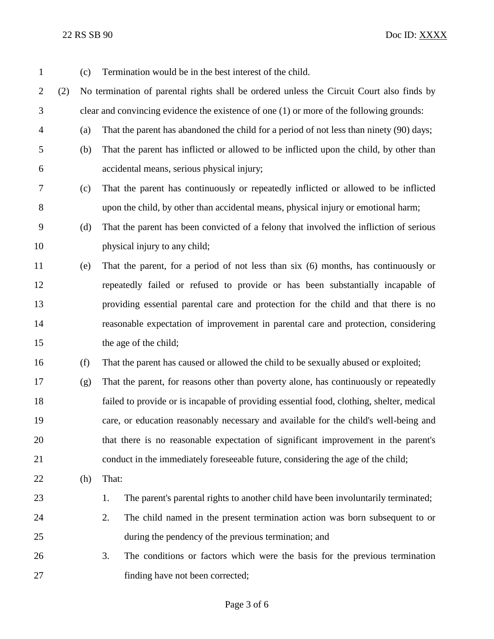22 RS SB 90 Doc ID: XXXX

| 1              |     | (c)                                                                                       | Termination would be in the best interest of the child.                                   |  |  |
|----------------|-----|-------------------------------------------------------------------------------------------|-------------------------------------------------------------------------------------------|--|--|
| $\overline{2}$ | (2) | No termination of parental rights shall be ordered unless the Circuit Court also finds by |                                                                                           |  |  |
| 3              |     | clear and convincing evidence the existence of one (1) or more of the following grounds:  |                                                                                           |  |  |
| $\overline{4}$ |     | (a)                                                                                       | That the parent has abandoned the child for a period of not less than ninety (90) days;   |  |  |
| 5              |     | (b)                                                                                       | That the parent has inflicted or allowed to be inflicted upon the child, by other than    |  |  |
| 6              |     |                                                                                           | accidental means, serious physical injury;                                                |  |  |
| 7              |     | (c)                                                                                       | That the parent has continuously or repeatedly inflicted or allowed to be inflicted       |  |  |
| 8              |     |                                                                                           | upon the child, by other than accidental means, physical injury or emotional harm;        |  |  |
| 9              |     | (d)                                                                                       | That the parent has been convicted of a felony that involved the infliction of serious    |  |  |
| 10             |     |                                                                                           | physical injury to any child;                                                             |  |  |
| 11             |     | (e)                                                                                       | That the parent, for a period of not less than six (6) months, has continuously or        |  |  |
| 12             |     |                                                                                           | repeatedly failed or refused to provide or has been substantially incapable of            |  |  |
| 13             |     |                                                                                           | providing essential parental care and protection for the child and that there is no       |  |  |
| 14             |     |                                                                                           | reasonable expectation of improvement in parental care and protection, considering        |  |  |
| 15             |     |                                                                                           | the age of the child;                                                                     |  |  |
| 16             |     | (f)                                                                                       | That the parent has caused or allowed the child to be sexually abused or exploited;       |  |  |
| 17             |     | (g)                                                                                       | That the parent, for reasons other than poverty alone, has continuously or repeatedly     |  |  |
| 18             |     |                                                                                           | failed to provide or is incapable of providing essential food, clothing, shelter, medical |  |  |
| 19             |     |                                                                                           | care, or education reasonably necessary and available for the child's well-being and      |  |  |
| 20             |     |                                                                                           | that there is no reasonable expectation of significant improvement in the parent's        |  |  |
| 21             |     |                                                                                           | conduct in the immediately foreseeable future, considering the age of the child;          |  |  |
| 22             |     | (h)                                                                                       | That:                                                                                     |  |  |
| 23             |     |                                                                                           | The parent's parental rights to another child have been involuntarily terminated;<br>1.   |  |  |
| 24             |     |                                                                                           | 2.<br>The child named in the present termination action was born subsequent to or         |  |  |
| 25             |     |                                                                                           | during the pendency of the previous termination; and                                      |  |  |
| 26             |     |                                                                                           | 3.<br>The conditions or factors which were the basis for the previous termination         |  |  |
| 27             |     |                                                                                           | finding have not been corrected;                                                          |  |  |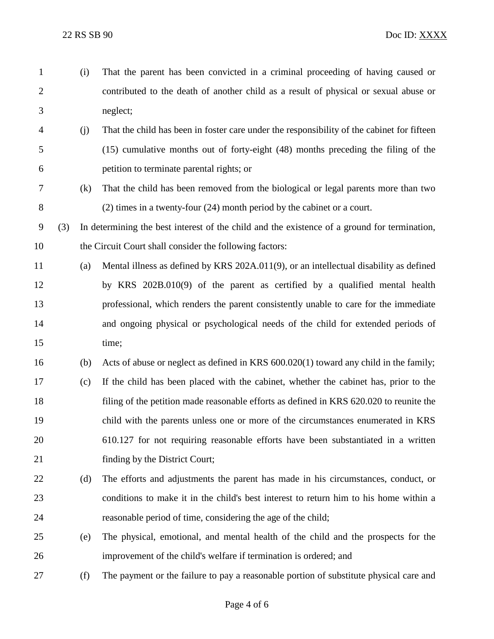(i) That the parent has been convicted in a criminal proceeding of having caused or contributed to the death of another child as a result of physical or sexual abuse or neglect; (j) That the child has been in foster care under the responsibility of the cabinet for fifteen (15) cumulative months out of forty-eight (48) months preceding the filing of the petition to terminate parental rights; or (k) That the child has been removed from the biological or legal parents more than two (2) times in a twenty-four (24) month period by the cabinet or a court. (3) In determining the best interest of the child and the existence of a ground for termination, the Circuit Court shall consider the following factors: (a) Mental illness as defined by KRS 202A.011(9), or an intellectual disability as defined by KRS 202B.010(9) of the parent as certified by a qualified mental health professional, which renders the parent consistently unable to care for the immediate and ongoing physical or psychological needs of the child for extended periods of 15 time: (b) Acts of abuse or neglect as defined in KRS 600.020(1) toward any child in the family; (c) If the child has been placed with the cabinet, whether the cabinet has, prior to the filing of the petition made reasonable efforts as defined in KRS 620.020 to reunite the child with the parents unless one or more of the circumstances enumerated in KRS 610.127 for not requiring reasonable efforts have been substantiated in a written 21 finding by the District Court; (d) The efforts and adjustments the parent has made in his circumstances, conduct, or conditions to make it in the child's best interest to return him to his home within a reasonable period of time, considering the age of the child; (e) The physical, emotional, and mental health of the child and the prospects for the improvement of the child's welfare if termination is ordered; and (f) The payment or the failure to pay a reasonable portion of substitute physical care and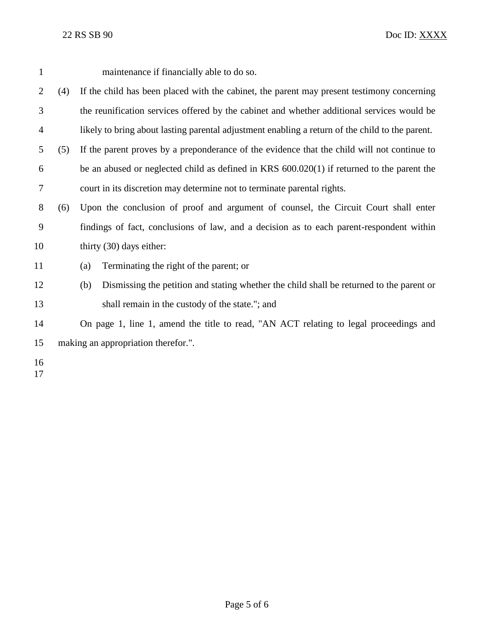| $\mathbf{1}$   |     |     | maintenance if financially able to do so.                                                       |
|----------------|-----|-----|-------------------------------------------------------------------------------------------------|
| $\overline{2}$ | (4) |     | If the child has been placed with the cabinet, the parent may present testimony concerning      |
| 3              |     |     | the reunification services offered by the cabinet and whether additional services would be      |
| $\overline{4}$ |     |     | likely to bring about lasting parental adjustment enabling a return of the child to the parent. |
| 5              | (5) |     | If the parent proves by a preponderance of the evidence that the child will not continue to     |
| 6              |     |     | be an abused or neglected child as defined in KRS $600.020(1)$ if returned to the parent the    |
| 7              |     |     | court in its discretion may determine not to terminate parental rights.                         |
| 8              | (6) |     | Upon the conclusion of proof and argument of counsel, the Circuit Court shall enter             |
| 9              |     |     | findings of fact, conclusions of law, and a decision as to each parent-respondent within        |
| 10             |     |     | thirty (30) days either:                                                                        |
| 11             |     | (a) | Terminating the right of the parent; or                                                         |
| 12             |     | (b) | Dismissing the petition and stating whether the child shall be returned to the parent or        |
| 13             |     |     | shall remain in the custody of the state."; and                                                 |
| 14             |     |     | On page 1, line 1, amend the title to read, "AN ACT relating to legal proceedings and           |
| 15             |     |     | making an appropriation therefor.".                                                             |
| 16<br>17       |     |     |                                                                                                 |